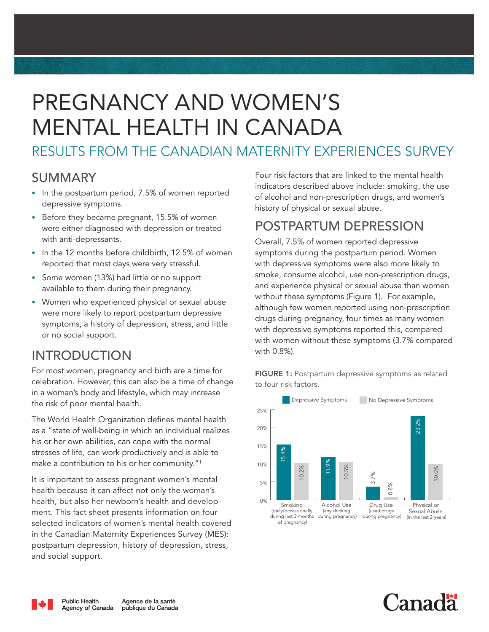# PREGNANCY AND WOMEN'S MENTAL HEALTH IN CANADA

# RESULTS FROM THE CANADIAN MATERNITY EXPERIENCES SURVEY

#### SUMMARY

- In the postpartum period, 7.5% of women reported depressive symptoms.
- Before they became pregnant, 15.5% of women were either diagnosed with depression or treated with anti-depressants.
- In the 12 months before childbirth, 12.5% of women reported that most days were very stressful.
- Some women (13%) had little or no support available to them during their pregnancy.
- Women who experienced physical or sexual abuse were more likely to report postpartum depressive symptoms, a history of depression, stress, and little or no social support.

## INTRODUCTION

For most women, pregnancy and birth are a time for celebration. However, this can also be a time of change in a woman's body and lifestyle, which may increase the risk of poor mental health.

The World Health Organization defines mental health as a "state of well-being in which an individual realizes his or her own abilities, can cope with the normal stresses of life, can work productively and is able to make a contribution to his or her community."1

It is important to assess pregnant women's mental health because it can affect not only the woman's health, but also her newborn's health and development. This fact sheet presents information on four selected indicators of women's mental health covered in the Canadian Maternity Experiences Survey (MES): postpartum depression, history of depression, stress, and social support.

Four risk factors that are linked to the mental health indicators described above include: smoking, the use of alcohol and non-prescription drugs, and women's history of physical or sexual abuse.

## POSTPARTUM DEPRESSION

Overall, 7.5% of women reported depressive symptoms during the postpartum period. Women with depressive symptoms were also more likely to smoke, consume alcohol, use non-prescription drugs, and experience physical or sexual abuse than women without these symptoms (Figure 1). For example, although few women reported using non-prescription drugs during pregnancy, four times as many women with depressive symptoms reported this, compared with women without these symptoms (3.7% compared with 0.8%).

FIGURE 1: Postpartum depressive symptoms as related to four risk factors.





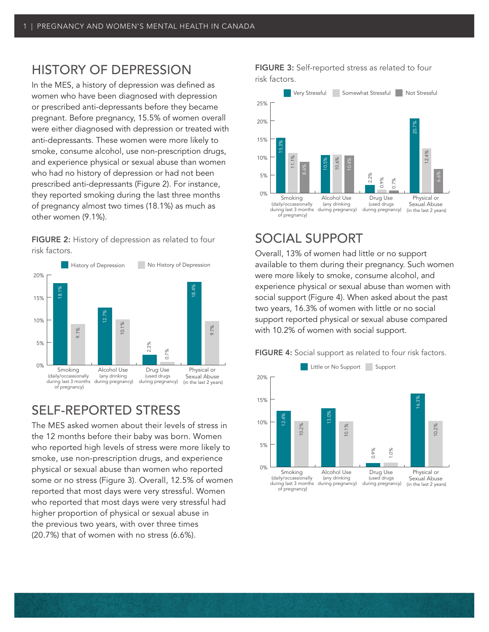### HISTORY OF DEPRESSION

In the MES, a history of depression was defined as women who have been diagnosed with depression or prescribed anti-depressants before they became pregnant. Before pregnancy, 15.5% of women overall were either diagnosed with depression or treated with anti-depressants. These women were more likely to smoke, consume alcohol, use non-prescription drugs, and experience physical or sexual abuse than women who had no history of depression or had not been prescribed anti-depressants (Figure 2). For instance, they reported smoking during the last three months of pregnancy almost two times (18.1%) as much as other women (9.1%).

FIGURE 2: History of depression as related to four risk factors.



## SELF-REPORTED STRESS

The MES asked women about their levels of stress in the 12 months before their baby was born. Women who reported high levels of stress were more likely to smoke, use non-prescription drugs, and experience physical or sexual abuse than women who reported some or no stress (Figure 3). Overall, 12.5% of women reported that most days were very stressful. Women who reported that most days were very stressful had higher proportion of physical or sexual abuse in the previous two years, with over three times (20.7%) that of women with no stress (6.6%).

FIGURE 3: Self-reported stress as related to four risk factors.



### SOCIAL SUPPORT

Overall, 13% of women had little or no support available to them during their pregnancy. Such women were more likely to smoke, consume alcohol, and experience physical or sexual abuse than women with social support (Figure 4). When asked about the past two years, 16.3% of women with little or no social support reported physical or sexual abuse compared with 10.2% of women with social support.